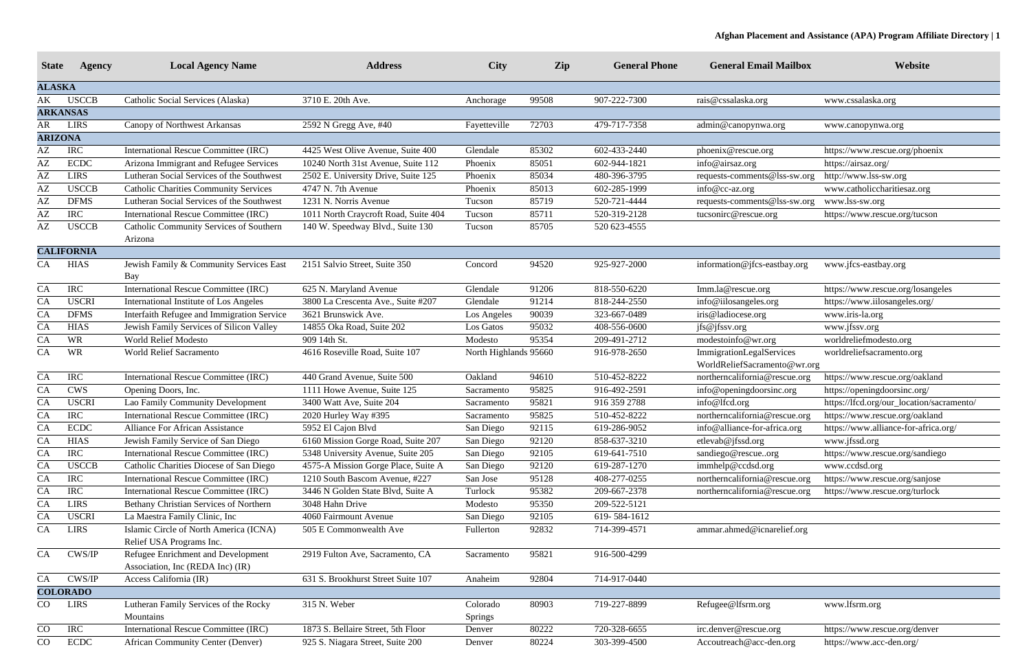| <b>State</b>  | Agency            | <b>Local Agency Name</b>                                               | <b>Address</b>                       | <b>City</b>           | Zip   | <b>General Phone</b> | <b>General Email Mailbox</b>                             | Website                                   |
|---------------|-------------------|------------------------------------------------------------------------|--------------------------------------|-----------------------|-------|----------------------|----------------------------------------------------------|-------------------------------------------|
| <b>ALASKA</b> |                   |                                                                        |                                      |                       |       |                      |                                                          |                                           |
| АK            | <b>USCCB</b>      | Catholic Social Services (Alaska)                                      | 3710 E. 20th Ave.                    | Anchorage             | 99508 | 907-222-7300         | rais@cssalaska.org                                       | www.cssalaska.org                         |
|               | <b>ARKANSAS</b>   |                                                                        |                                      |                       |       |                      |                                                          |                                           |
| AR            | <b>LIRS</b>       | Canopy of Northwest Arkansas                                           | 2592 N Gregg Ave, #40                | Fayetteville          | 72703 | 479-717-7358         | admin@canopynwa.org                                      | www.canopynwa.org                         |
|               | <b>ARIZONA</b>    |                                                                        |                                      |                       |       |                      |                                                          |                                           |
| AΖ            | <b>IRC</b>        | International Rescue Committee (IRC)                                   | 4425 West Olive Avenue, Suite 400    | Glendale              | 85302 | 602-433-2440         | phoenix@rescue.org                                       | https://www.rescue.org/phoenix            |
| AΖ            | <b>ECDC</b>       | Arizona Immigrant and Refugee Services                                 | 10240 North 31st Avenue, Suite 112   | Phoenix               | 85051 | 602-944-1821         | info@airsaz.org                                          | https://airsaz.org/                       |
| AΖ            | <b>LIRS</b>       | Lutheran Social Services of the Southwest                              | 2502 E. University Drive, Suite 125  | Phoenix               | 85034 | 480-396-3795         | requests-comments@lss-sw.org                             | http://www.lss-sw.org                     |
| AΖ            | <b>USCCB</b>      | <b>Catholic Charities Community Services</b>                           | 4747 N. 7th Avenue                   | Phoenix               | 85013 | 602-285-1999         | info@cc-az.org                                           | www.catholiccharitiesaz.org               |
| AΖ            | <b>DFMS</b>       | Lutheran Social Services of the Southwest                              | 1231 N. Norris Avenue                | Tucson                | 85719 | 520-721-4444         | requests-comments@lss-sw.org                             | www.lss-sw.org                            |
| AΖ            | <b>IRC</b>        | International Rescue Committee (IRC)                                   | 1011 North Craycroft Road, Suite 404 | Tucson                | 85711 | 520-319-2128         | tucsonirc@rescue.org                                     | https://www.rescue.org/tucson             |
| AΖ            | <b>USCCB</b>      | Catholic Community Services of Southern                                | 140 W. Speedway Blvd., Suite 130     | Tucson                | 85705 | 520 623-4555         |                                                          |                                           |
|               |                   | Arizona                                                                |                                      |                       |       |                      |                                                          |                                           |
|               | <b>CALIFORNIA</b> |                                                                        |                                      |                       |       |                      |                                                          |                                           |
| CA            | <b>HIAS</b>       | Jewish Family & Community Services East<br>Bay                         | 2151 Salvio Street, Suite 350        | Concord               | 94520 | 925-927-2000         | information@jfcs-eastbay.org                             | www.jfcs-eastbay.org                      |
| CA            | <b>IRC</b>        | International Rescue Committee (IRC)                                   | 625 N. Maryland Avenue               | Glendale              | 91206 | 818-550-6220         | Imm.la@rescue.org                                        | https://www.rescue.org/losangeles         |
| CA            | <b>USCRI</b>      | International Institute of Los Angeles                                 | 3800 La Crescenta Ave., Suite #207   | Glendale              | 91214 | 818-244-2550         | info@iilosangeles.org                                    | https://www.iilosangeles.org/             |
| CA            | <b>DFMS</b>       | Interfaith Refugee and Immigration Service                             | 3621 Brunswick Ave.                  | Los Angeles           | 90039 | 323-667-0489         | iris@ladiocese.org                                       | www.iris-la.org                           |
| CA            | <b>HIAS</b>       | Jewish Family Services of Silicon Valley                               | 14855 Oka Road, Suite 202            | Los Gatos             | 95032 | 408-556-0600         | jfs@jfssv.org                                            | www.jfssv.org                             |
| CA            | <b>WR</b>         | <b>World Relief Modesto</b>                                            | 909 14th St.                         | Modesto               | 95354 | 209-491-2712         | modestoinfo@wr.org                                       | worldreliefmodesto.org                    |
| CA            | <b>WR</b>         | <b>World Relief Sacramento</b>                                         | 4616 Roseville Road, Suite 107       | North Highlands 95660 |       | 916-978-2650         | ImmigrationLegalServices<br>WorldReliefSacramento@wr.org | worldreliefsacramento.org                 |
| CA            | <b>IRC</b>        | International Rescue Committee (IRC)                                   | 440 Grand Avenue, Suite 500          | Oakland               | 94610 | 510-452-8222         | northerncalifornia@rescue.org                            | https://www.rescue.org/oakland            |
| CA            | <b>CWS</b>        | Opening Doors, Inc.                                                    | 1111 Howe Avenue, Suite 125          | Sacramento            | 95825 | 916-492-2591         | info@openingdoorsinc.org                                 | https://openingdoorsinc.org/              |
| <b>CA</b>     | <b>USCRI</b>      | Lao Family Community Development                                       | 3400 Watt Ave, Suite 204             | Sacramento            | 95821 | 916 359 2788         | info@lfcd.org                                            | https://lfcd.org/our_location/sacramento/ |
| <b>CA</b>     | <b>IRC</b>        | International Rescue Committee (IRC)                                   | 2020 Hurley Way #395                 | Sacramento            | 95825 | 510-452-8222         | northerncalifornia@rescue.org                            | https://www.rescue.org/oakland            |
| <b>CA</b>     | <b>ECDC</b>       | <b>Alliance For African Assistance</b>                                 | 5952 El Cajon Blvd                   | San Diego             | 92115 | 619-286-9052         | info@alliance-for-africa.org                             | https://www.alliance-for-africa.org/      |
| <b>CA</b>     | <b>HIAS</b>       | Jewish Family Service of San Diego                                     | 6160 Mission Gorge Road, Suite 207   | San Diego             | 92120 | 858-637-3210         | etlevab@jfssd.org                                        | www.jfssd.org                             |
| CA            | <b>IRC</b>        | <b>International Rescue Committee (IRC)</b>                            | 5348 University Avenue, Suite 205    | San Diego             | 92105 | 619-641-7510         | sandiego@rescueorg                                       | https://www.rescue.org/sandiego           |
| CA            | <b>USCCB</b>      | Catholic Charities Diocese of San Diego                                | 4575-A Mission Gorge Place, Suite A  | San Diego             | 92120 | 619-287-1270         | immhelp@ccdsd.org                                        | www.ccdsd.org                             |
| CA            | <b>IRC</b>        | International Rescue Committee (IRC)                                   | 1210 South Bascom Avenue, #227       | San Jose              | 95128 | 408-277-0255         | northerncalifornia@rescue.org                            | https://www.rescue.org/sanjose            |
| CA            | <b>IRC</b>        | International Rescue Committee (IRC)                                   | 3446 N Golden State Blvd, Suite A    | Turlock               | 95382 | 209-667-2378         | northerncalifornia@rescue.org                            | https://www.rescue.org/turlock            |
| CA            | <b>LIRS</b>       | Bethany Christian Services of Northern                                 | 3048 Hahn Drive                      | Modesto               | 95350 | 209-522-5121         |                                                          |                                           |
| CA            | <b>USCRI</b>      | La Maestra Family Clinic, Inc                                          | 4060 Fairmount Avenue                | San Diego             | 92105 | 619-584-1612         |                                                          |                                           |
| CA            | <b>LIRS</b>       | Islamic Circle of North America (ICNA)<br>Relief USA Programs Inc.     | 505 E Commonwealth Ave               | Fullerton             | 92832 | 714-399-4571         | ammar.ahmed@icnarelief.org                               |                                           |
| ${\rm CA}$    | CWS/IP            | Refugee Enrichment and Development<br>Association, Inc (REDA Inc) (IR) | 2919 Fulton Ave, Sacramento, CA      | Sacramento            | 95821 | 916-500-4299         |                                                          |                                           |
| CA            | CWS/IP            | Access California (IR)                                                 | 631 S. Brookhurst Street Suite 107   | Anaheim               | 92804 | 714-917-0440         |                                                          |                                           |
|               | <b>COLORADO</b>   |                                                                        |                                      |                       |       |                      |                                                          |                                           |
| CO            | <b>LIRS</b>       | Lutheran Family Services of the Rocky<br>Mountains                     | 315 N. Weber                         | Colorado<br>Springs   | 80903 | 719-227-8899         | Refugee@lfsrm.org                                        | www.lfsrm.org                             |
| CO            | <b>IRC</b>        | International Rescue Committee (IRC)                                   | 1873 S. Bellaire Street, 5th Floor   | Denver                | 80222 | 720-328-6655         | irc.denver@rescue.org                                    | https://www.rescue.org/denver             |
| CO            | <b>ECDC</b>       | African Community Center (Denver)                                      | 925 S. Niagara Street, Suite 200     | Denver                | 80224 | 303-399-4500         | Accoutreach@acc-den.org                                  | https://www.acc-den.org/                  |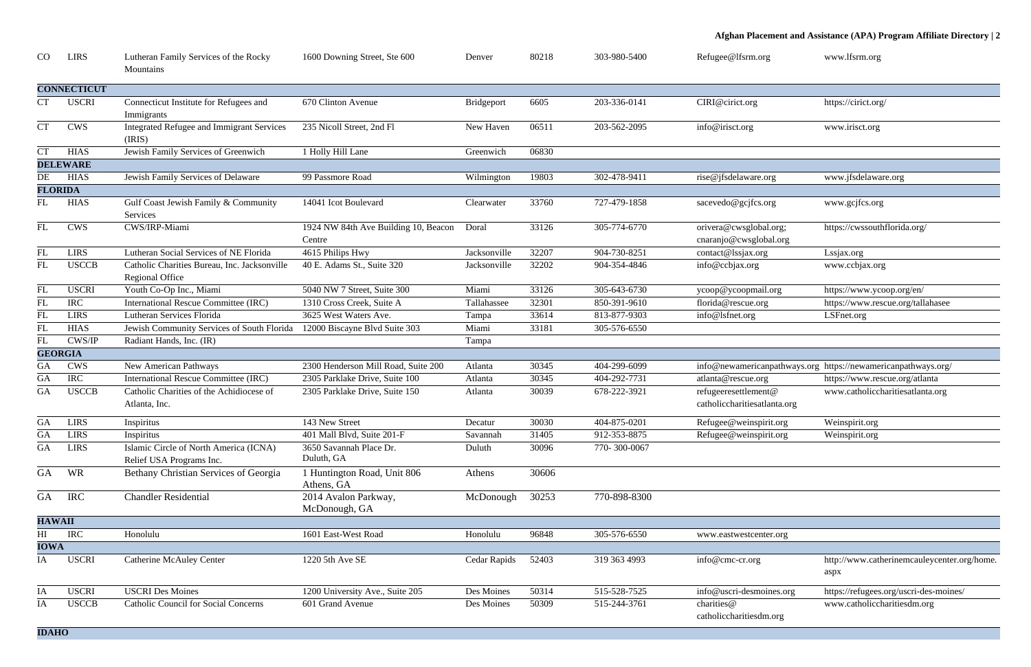| .org      | www.lfsrm.org                                    |
|-----------|--------------------------------------------------|
|           |                                                  |
|           |                                                  |
|           | https://cirict.org/                              |
|           |                                                  |
|           | www.irisct.org                                   |
|           |                                                  |
|           |                                                  |
| e.org     | www.jfsdelaware.org                              |
|           |                                                  |
| s.org     | www.gcjfcs.org                                   |
|           |                                                  |
| bal.org;  | https://cwssouthflorida.org/                     |
| lobal.org |                                                  |
| org       | Lssjax.org                                       |
|           | www.ccbjax.org                                   |
|           |                                                  |
| ail.org   | https://www.ycoop.org/en/                        |
| org       | https://www.rescue.org/tallahasee                |
|           | LSFnet.org                                       |
|           |                                                  |
|           |                                                  |
|           |                                                  |
|           | canpathways.org https://newamericanpathways.org/ |
| org       | https://www.rescue.org/atlanta                   |
| ent@      | www.catholiccharitiesatlanta.org                 |

| enter.org  |                                             |
|------------|---------------------------------------------|
|            |                                             |
| g          | http://www.catherinemcauleycenter.org/home. |
|            | aspx                                        |
| noines.org | https://refugees.org/uscri-des-moines/      |
|            | www.catholiccharitiesdm.org                 |
| dm.org     |                                             |
|            |                                             |

| CO                  | <b>LIRS</b>        | Lutheran Family Services of the Rocky<br>Mountains                     | 1600 Downing Street, Ste 600                   | Denver            | 80218 | 303-980-5400 | Refugee@lfsrm.org                                    | www.lfsrm.org                                                 |
|---------------------|--------------------|------------------------------------------------------------------------|------------------------------------------------|-------------------|-------|--------------|------------------------------------------------------|---------------------------------------------------------------|
|                     | <b>CONNECTICUT</b> |                                                                        |                                                |                   |       |              |                                                      |                                                               |
| $\operatorname{CT}$ | <b>USCRI</b>       | Connecticut Institute for Refugees and<br>Immigrants                   | 670 Clinton Avenue                             | <b>Bridgeport</b> | 6605  | 203-336-0141 | CIRI@cirict.org                                      | https://cirict.org/                                           |
| <b>CT</b>           | <b>CWS</b>         | <b>Integrated Refugee and Immigrant Services</b><br>(IRIS)             | 235 Nicoll Street, 2nd Fl                      | New Haven         | 06511 | 203-562-2095 | info@irisct.org                                      | www.irisct.org                                                |
| <b>CT</b>           | <b>HIAS</b>        | Jewish Family Services of Greenwich                                    | 1 Holly Hill Lane                              | Greenwich         | 06830 |              |                                                      |                                                               |
|                     | <b>DELEWARE</b>    |                                                                        |                                                |                   |       |              |                                                      |                                                               |
| DE                  | <b>HIAS</b>        | Jewish Family Services of Delaware                                     | 99 Passmore Road                               | Wilmington        | 19803 | 302-478-9411 | rise@jfsdelaware.org                                 | www.jfsdelaware.org                                           |
| <b>FLORIDA</b>      |                    |                                                                        |                                                |                   |       |              |                                                      |                                                               |
| FL                  | <b>HIAS</b>        | Gulf Coast Jewish Family & Community<br>Services                       | 14041 Icot Boulevard                           | Clearwater        | 33760 | 727-479-1858 | sacevedo@gcjfcs.org                                  | www.gcjfcs.org                                                |
| FL                  | <b>CWS</b>         | CWS/IRP-Miami                                                          | 1924 NW 84th Ave Building 10, Beacon<br>Centre | Doral             | 33126 | 305-774-6770 | orivera@cwsglobal.org;<br>cnaranjo@cwsglobal.org     | https://cwssouthflorida.org/                                  |
| FL                  | <b>LIRS</b>        | Lutheran Social Services of NE Florida                                 | 4615 Philips Hwy                               | Jacksonville      | 32207 | 904-730-8251 | contact@lssjax.org                                   | Lssjax.org                                                    |
| FL                  | <b>USCCB</b>       | Catholic Charities Bureau, Inc. Jacksonville<br><b>Regional Office</b> | 40 E. Adams St., Suite 320                     | Jacksonville      | 32202 | 904-354-4846 | info@ccbjax.org                                      | www.ccbjax.org                                                |
| ${\rm FL}$          | <b>USCRI</b>       | Youth Co-Op Inc., Miami                                                | 5040 NW 7 Street, Suite 300                    | Miami             | 33126 | 305-643-6730 | ycoop@ycoopmail.org                                  | https://www.ycoop.org/en/                                     |
| FL                  | <b>IRC</b>         | <b>International Rescue Committee (IRC)</b>                            | 1310 Cross Creek, Suite A                      | Tallahassee       | 32301 | 850-391-9610 | florida@rescue.org                                   | https://www.rescue.org/tallahasee                             |
| FL                  | <b>LIRS</b>        | Lutheran Services Florida                                              | 3625 West Waters Ave.                          | Tampa             | 33614 | 813-877-9303 | info@lsfnet.org                                      | LSFnet.org                                                    |
| FL                  | <b>HIAS</b>        | Jewish Community Services of South Florida                             | 12000 Biscayne Blvd Suite 303                  | Miami             | 33181 | 305-576-6550 |                                                      |                                                               |
| FL                  | CWS/IP             | Radiant Hands, Inc. (IR)                                               |                                                | Tampa             |       |              |                                                      |                                                               |
|                     | <b>GEORGIA</b>     |                                                                        |                                                |                   |       |              |                                                      |                                                               |
| GA                  | <b>CWS</b>         | New American Pathways                                                  | 2300 Henderson Mill Road, Suite 200            | Atlanta           | 30345 | 404-299-6099 |                                                      | info@newamericanpathways.org https://newamericanpathways.org/ |
| GA                  | <b>IRC</b>         | <b>International Rescue Committee (IRC)</b>                            | 2305 Parklake Drive, Suite 100                 | Atlanta           | 30345 | 404-292-7731 | atlanta@rescue.org                                   | https://www.rescue.org/atlanta                                |
| <b>GA</b>           | <b>USCCB</b>       | Catholic Charities of the Achidiocese of<br>Atlanta, Inc.              | 2305 Parklake Drive, Suite 150                 | Atlanta           | 30039 | 678-222-3921 | refugeeresettlement@<br>catholiccharitiesatlanta.org | www.catholiccharitiesatlanta.org                              |
| <b>GA</b>           | <b>LIRS</b>        | Inspiritus                                                             | 143 New Street                                 | Decatur           | 30030 | 404-875-0201 | Refugee@weinspirit.org                               | Weinspirit.org                                                |
| GA                  | <b>LIRS</b>        | Inspiritus                                                             | 401 Mall Blvd, Suite 201-F                     | Savannah          | 31405 | 912-353-8875 | Refugee@weinspirit.org                               | Weinspirit.org                                                |
| <b>GA</b>           | <b>LIRS</b>        | Islamic Circle of North America (ICNA)<br>Relief USA Programs Inc.     | 3650 Savannah Place Dr.<br>Duluth, GA          | Duluth            | 30096 | 770-300-0067 |                                                      |                                                               |
| <b>GA</b>           | WR                 | Bethany Christian Services of Georgia                                  | 1 Huntington Road, Unit 806<br>Athens, GA      | Athens            | 30606 |              |                                                      |                                                               |
| <b>GA</b>           | <b>IRC</b>         | <b>Chandler Residential</b>                                            | 2014 Avalon Parkway,<br>McDonough, GA          | McDonough         | 30253 | 770-898-8300 |                                                      |                                                               |
| <b>HAWAII</b>       |                    |                                                                        |                                                |                   |       |              |                                                      |                                                               |
| HI                  | <b>IRC</b>         | Honolulu                                                               | 1601 East-West Road                            | Honolulu          | 96848 | 305-576-6550 | www.eastwestcenter.org                               |                                                               |
| <b>IOWA</b>         |                    |                                                                        |                                                |                   |       |              |                                                      |                                                               |
| IA                  | <b>USCRI</b>       | <b>Catherine McAuley Center</b>                                        | 1220 5th Ave SE                                | Cedar Rapids      | 52403 | 319 363 4993 | info@cmc-cr.org                                      | http://www.catherinemcauleycenter.org/home.<br>aspx           |
| IA                  | <b>USCRI</b>       | <b>USCRI Des Moines</b>                                                | 1200 University Ave., Suite 205                | Des Moines        | 50314 | 515-528-7525 | info@uscri-desmoines.org                             | https://refugees.org/uscri-des-moines/                        |
| IA                  | <b>USCCB</b>       | <b>Catholic Council for Social Concerns</b>                            | 601 Grand Avenue                               | Des Moines        | 50309 | 515-244-3761 | charities@<br>catholiccharitiesdm.org                | www.catholiccharitiesdm.org                                   |
| <b>IDAHO</b>        |                    |                                                                        |                                                |                   |       |              |                                                      |                                                               |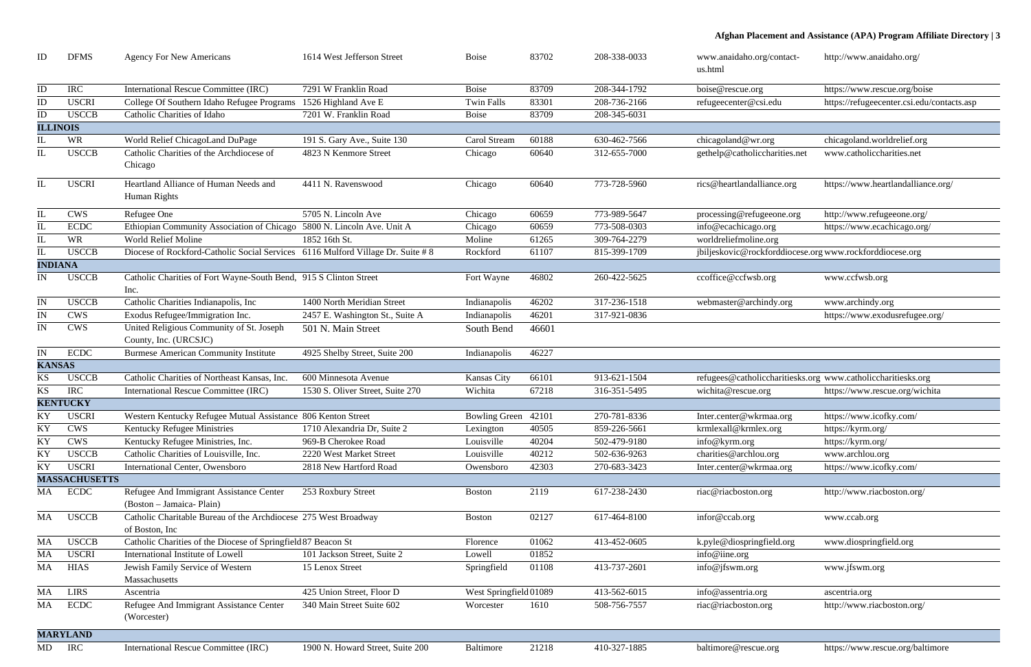| ID                     | <b>DFMS</b>          | <b>Agency For New Americans</b>                                                    | 1614 West Jefferson Street       | <b>Boise</b>           | 83702 | 208-338-0033 | www.anaidaho.org/contact-<br>us.html                         | http://www.anaidaho.org/                   |
|------------------------|----------------------|------------------------------------------------------------------------------------|----------------------------------|------------------------|-------|--------------|--------------------------------------------------------------|--------------------------------------------|
| ID                     | <b>IRC</b>           | <b>International Rescue Committee (IRC)</b>                                        | 7291 W Franklin Road             | <b>Boise</b>           | 83709 | 208-344-1792 | boise@rescue.org                                             | https://www.rescue.org/boise               |
| ID                     | <b>USCRI</b>         | College Of Southern Idaho Refugee Programs                                         | 1526 Highland Ave E              | <b>Twin Falls</b>      | 83301 | 208-736-2166 | refugeecenter@csi.edu                                        | https://refugeecenter.csi.edu/contacts.asp |
| ID                     | <b>USCCB</b>         | Catholic Charities of Idaho                                                        | 7201 W. Franklin Road            | <b>Boise</b>           | 83709 | 208-345-6031 |                                                              |                                            |
| <b>ILLINOIS</b>        |                      |                                                                                    |                                  |                        |       |              |                                                              |                                            |
|                        | <b>WR</b>            | World Relief ChicagoLand DuPage                                                    | 191 S. Gary Ave., Suite 130      | Carol Stream           | 60188 | 630-462-7566 | chicagoland@wr.org                                           | chicagoland.worldrelief.org                |
|                        | <b>USCCB</b>         | Catholic Charities of the Archdiocese of<br>Chicago                                | 4823 N Kenmore Street            | Chicago                | 60640 | 312-655-7000 | gethelp@catholiccharities.net                                | www.catholiccharities.net                  |
|                        | <b>USCRI</b>         | Heartland Alliance of Human Needs and<br>Human Rights                              | 4411 N. Ravenswood               | Chicago                | 60640 | 773-728-5960 | rics@heartlandalliance.org                                   | https://www.heartlandalliance.org/         |
| IL                     | <b>CWS</b>           | Refugee One                                                                        | 5705 N. Lincoln Ave              | Chicago                | 60659 | 773-989-5647 | processing@refugeeone.org                                    | http://www.refugeeone.org/                 |
| IL                     | <b>ECDC</b>          | Ethiopian Community Association of Chicago                                         | 5800 N. Lincoln Ave. Unit A      | Chicago                | 60659 | 773-508-0303 | info@ecachicago.org                                          | https://www.ecachicago.org/                |
|                        | <b>WR</b>            | <b>World Relief Moline</b>                                                         | 1852 16th St.                    | Moline                 | 61265 | 309-764-2279 | worldreliefmoline.org                                        |                                            |
|                        | <b>USCCB</b>         | Diocese of Rockford-Catholic Social Services 6116 Mulford Village Dr. Suite #8     |                                  | Rockford               | 61107 | 815-399-1709 | jbiljeskovic@rockforddiocese.org www.rockforddiocese.org     |                                            |
| <b>INDIANA</b>         |                      |                                                                                    |                                  |                        |       |              |                                                              |                                            |
| IN.                    | <b>USCCB</b>         | Catholic Charities of Fort Wayne-South Bend, 915 S Clinton Street<br>Inc.          |                                  | Fort Wayne             | 46802 | 260-422-5625 | ccoffice@ccfwsb.org                                          | www.ccfwsb.org                             |
| IN                     | <b>USCCB</b>         | Catholic Charities Indianapolis, Inc                                               | 1400 North Meridian Street       | Indianapolis           | 46202 | 317-236-1518 | webmaster@archindy.org                                       | www.archindy.org                           |
| IN                     | <b>CWS</b>           | Exodus Refugee/Immigration Inc.                                                    | 2457 E. Washington St., Suite A  | Indianapolis           | 46201 | 317-921-0836 |                                                              | https://www.exodusrefugee.org/             |
| IN                     | <b>CWS</b>           | United Religious Community of St. Joseph<br>County, Inc. (URCSJC)                  | 501 N. Main Street               | South Bend             | 46601 |              |                                                              |                                            |
| IN                     | <b>ECDC</b>          | <b>Burmese American Community Institute</b>                                        | 4925 Shelby Street, Suite 200    | Indianapolis           | 46227 |              |                                                              |                                            |
| <b>KANSAS</b>          |                      |                                                                                    |                                  |                        |       |              |                                                              |                                            |
| KS                     | <b>USCCB</b>         | Catholic Charities of Northeast Kansas, Inc.                                       | 600 Minnesota Avenue             | <b>Kansas City</b>     | 66101 | 913-621-1504 | refugees@catholiccharitiesks.org www.catholiccharitiesks.org |                                            |
| KS                     | <b>IRC</b>           | <b>International Rescue Committee (IRC)</b>                                        | 1530 S. Oliver Street, Suite 270 | Wichita                | 67218 | 316-351-5495 | wichita@rescue.org                                           | https://www.rescue.org/wichita             |
|                        | <b>KENTUCKY</b>      |                                                                                    |                                  |                        |       |              |                                                              |                                            |
|                        | <b>USCRI</b>         | Western Kentucky Refugee Mutual Assistance 806 Kenton Street                       |                                  | Bowling Green 42101    |       | 270-781-8336 | Inter.center@wkrmaa.org                                      | https://www.icofky.com/                    |
| $\mathbf{K}\mathbf{Y}$ | <b>CWS</b>           | Kentucky Refugee Ministries                                                        | 1710 Alexandria Dr, Suite 2      | Lexington              | 40505 | 859-226-5661 | krmlexall@krmlex.org                                         | https://kyrm.org/                          |
| KY                     | <b>CWS</b>           | Kentucky Refugee Ministries, Inc.                                                  | 969-B Cherokee Road              | Louisville             | 40204 | 502-479-9180 | info@kyrm.org                                                | https://kyrm.org/                          |
| ΚY                     | <b>USCCB</b>         | Catholic Charities of Louisville, Inc.                                             | 2220 West Market Street          | Louisville             | 40212 | 502-636-9263 | charities@archlou.org                                        | www.archlou.org                            |
| KY                     | <b>USCRI</b>         | <b>International Center, Owensboro</b>                                             | 2818 New Hartford Road           | Owensboro              | 42303 | 270-683-3423 | Inter.center@wkrmaa.org                                      | https://www.icofky.com/                    |
|                        | <b>MASSACHUSETTS</b> |                                                                                    |                                  |                        |       |              |                                                              |                                            |
| MA                     | <b>ECDC</b>          | Refugee And Immigrant Assistance Center<br>(Boston – Jamaica- Plain)               | 253 Roxbury Street               | <b>Boston</b>          | 2119  | 617-238-2430 | riac@riacboston.org                                          | http://www.riacboston.org/                 |
| MA                     | <b>USCCB</b>         | Catholic Charitable Bureau of the Archdiocese 275 West Broadway<br>of Boston, Inc. |                                  | <b>Boston</b>          | 02127 | 617-464-8100 | infor@ccab.org                                               | www.ccab.org                               |
| MA                     | <b>USCCB</b>         | Catholic Charities of the Diocese of Springfield 87 Beacon St                      |                                  | Florence               | 01062 | 413-452-0605 | k.pyle@diospringfield.org                                    | www.diospringfield.org                     |
| MA                     | <b>USCRI</b>         | International Institute of Lowell                                                  | 101 Jackson Street, Suite 2      | Lowell                 | 01852 |              | info@iine.org                                                |                                            |
| MA                     | <b>HIAS</b>          | Jewish Family Service of Western<br>Massachusetts                                  | 15 Lenox Street                  | Springfield            | 01108 | 413-737-2601 | info@jfswm.org                                               | www.jfswm.org                              |
| MA                     | <b>LIRS</b>          | Ascentria                                                                          | 425 Union Street, Floor D        | West Springfield 01089 |       | 413-562-6015 | info@assentria.org                                           | ascentria.org                              |
| MA                     | <b>ECDC</b>          | Refugee And Immigrant Assistance Center<br>(Worcester)                             | 340 Main Street Suite 602        | Worcester              | 1610  | 508-756-7557 | riac@riacboston.org                                          | http://www.riacboston.org/                 |
|                        | <b>MARYLAND</b>      |                                                                                    |                                  |                        |       |              |                                                              |                                            |
| MD                     | <b>IRC</b>           | <b>International Rescue Committee (IRC)</b>                                        | 1900 N. Howard Street, Suite 200 | Baltimore              | 21218 | 410-327-1885 | baltimore@rescue.org                                         | https://www.rescue.org/baltimore           |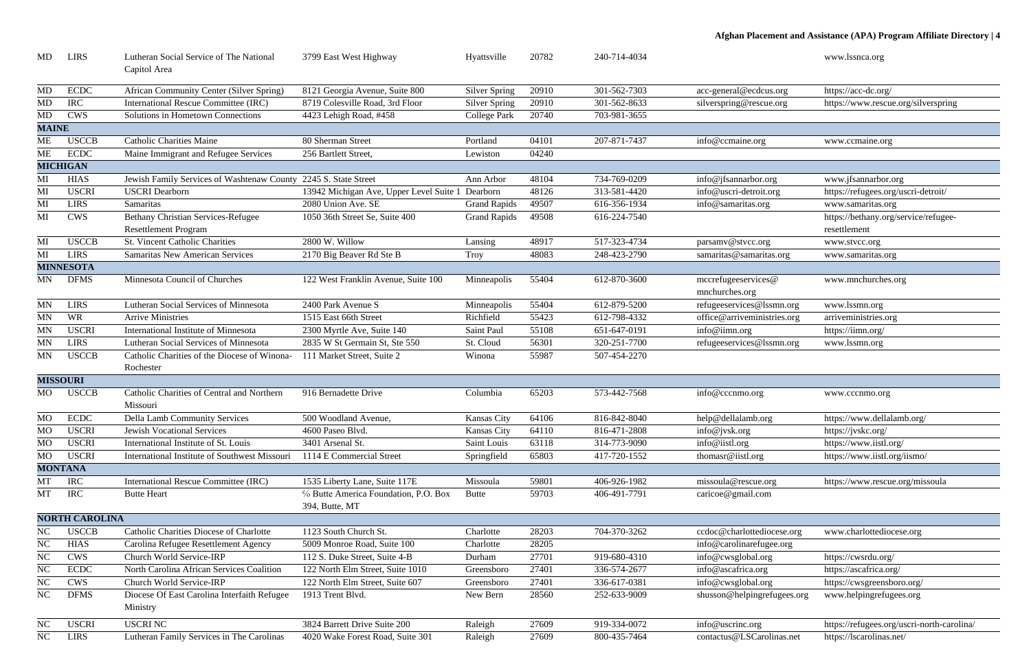| icus.org | https://acc-dc.org/                 |
|----------|-------------------------------------|
| scue.org | https://www.rescue.org/silverspring |

| MD           | <b>LIRS</b>           | Lutheran Social Service of The National                         | 3799 East West Highway                                 | Hyattsville          | 20782 | 240-714-4034 |                                       | www.lssnca.org                             |
|--------------|-----------------------|-----------------------------------------------------------------|--------------------------------------------------------|----------------------|-------|--------------|---------------------------------------|--------------------------------------------|
|              |                       | Capitol Area                                                    |                                                        |                      |       |              |                                       |                                            |
| <b>MD</b>    | <b>ECDC</b>           | African Community Center (Silver Spring)                        | 8121 Georgia Avenue, Suite 800                         | <b>Silver Spring</b> | 20910 | 301-562-7303 | acc-general@ecdcus.org                | https://acc-dc.org/                        |
| MD           | <b>IRC</b>            | International Rescue Committee (IRC)                            | 8719 Colesville Road, 3rd Floor                        | <b>Silver Spring</b> | 20910 | 301-562-8633 | silverspring@rescue.org               | https://www.rescue.org/silverspring        |
| MD           | <b>CWS</b>            | Solutions in Hometown Connections                               | 4423 Lehigh Road, #458                                 | <b>College Park</b>  | 20740 | 703-981-3655 |                                       |                                            |
| <b>MAINE</b> |                       |                                                                 |                                                        |                      |       |              |                                       |                                            |
| <b>ME</b>    | <b>USCCB</b>          | <b>Catholic Charities Maine</b>                                 | 80 Sherman Street                                      | Portland             | 04101 | 207-871-7437 | info@ccmaine.org                      | www.ccmaine.org                            |
| <b>ME</b>    | <b>ECDC</b>           | Maine Immigrant and Refugee Services                            | 256 Bartlett Street,                                   | Lewiston             | 04240 |              |                                       |                                            |
|              | <b>MICHIGAN</b>       |                                                                 |                                                        |                      |       |              |                                       |                                            |
| MI           | <b>HIAS</b>           | Jewish Family Services of Washtenaw County 2245 S. State Street |                                                        | Ann Arbor            | 48104 | 734-769-0209 | info@jfsannarbor.org                  | www.jfsannarbor.org                        |
| MI           | <b>USCRI</b>          | <b>USCRI</b> Dearborn                                           | 13942 Michigan Ave, Upper Level Suite 1 Dearborn       |                      | 48126 | 313-581-4420 | info@uscri-detroit.org                | https://refugees.org/uscri-detroit/        |
| MI           | <b>LIRS</b>           | Samaritas                                                       | 2080 Union Ave. SE                                     | <b>Grand Rapids</b>  | 49507 | 616-356-1934 | info@samaritas.org                    | www.samaritas.org                          |
| MI           | <b>CWS</b>            | <b>Bethany Christian Services-Refugee</b>                       | 1050 36th Street Se, Suite 400                         | <b>Grand Rapids</b>  | 49508 | 616-224-7540 |                                       | https://bethany.org/service/refugee-       |
|              |                       | <b>Resettlement Program</b>                                     |                                                        |                      |       |              |                                       | resettlement                               |
| MI           | <b>USCCB</b>          | <b>St. Vincent Catholic Charities</b>                           | 2800 W. Willow                                         | Lansing              | 48917 | 517-323-4734 | parsamy@stvcc.org                     | www.stvcc.org                              |
| MI           | <b>LIRS</b>           | <b>Samaritas New American Services</b>                          | 2170 Big Beaver Rd Ste B                               | Troy                 | 48083 | 248-423-2790 | samaritas@samaritas.org               | www.samaritas.org                          |
|              | <b>MINNESOTA</b>      |                                                                 |                                                        |                      |       |              |                                       |                                            |
| MN           | <b>DFMS</b>           | Minnesota Council of Churches                                   | 122 West Franklin Avenue, Suite 100                    | Minneapolis          | 55404 | 612-870-3600 | mccrefugeeservices@<br>mnchurches.org | www.mnchurches.org                         |
| <b>MN</b>    | <b>LIRS</b>           | Lutheran Social Services of Minnesota                           | 2400 Park Avenue S                                     | Minneapolis          | 55404 | 612-879-5200 | refugeeservices@lssmn.org             | www.lssmn.org                              |
| <b>MN</b>    | <b>WR</b>             | <b>Arrive Ministries</b>                                        | 1515 East 66th Street                                  | Richfield            | 55423 | 612-798-4332 | office@arriveministries.org           | arriveministries.org                       |
| <b>MN</b>    | <b>USCRI</b>          | International Institute of Minnesota                            | 2300 Myrtle Ave, Suite 140                             | Saint Paul           | 55108 | 651-647-0191 | info@iimn.org                         | https://iimn.org/                          |
| <b>MN</b>    | <b>LIRS</b>           | Lutheran Social Services of Minnesota                           | 2835 W St Germain St, Ste 550                          | St. Cloud            | 56301 | 320-251-7700 | refugeeservices@lssmn.org             | www.lssmn.org                              |
| <b>MN</b>    | <b>USCCB</b>          | Catholic Charities of the Diocese of Winona-                    | 111 Market Street, Suite 2                             | Winona               | 55987 | 507-454-2270 |                                       |                                            |
|              |                       | Rochester                                                       |                                                        |                      |       |              |                                       |                                            |
|              | <b>MISSOURI</b>       |                                                                 |                                                        |                      |       |              |                                       |                                            |
| MO.          | <b>USCCB</b>          | Catholic Charities of Central and Northern<br>Missouri          | 916 Bernadette Drive                                   | Columbia             | 65203 | 573-442-7568 | info@cccnmo.org                       | www.cccnmo.org                             |
| <b>MO</b>    | <b>ECDC</b>           | <b>Della Lamb Community Services</b>                            | 500 Woodland Avenue,                                   | <b>Kansas City</b>   | 64106 | 816-842-8040 | help@dellalamb.org                    | https://www.dellalamb.org/                 |
| <b>MO</b>    | <b>USCRI</b>          | <b>Jewish Vocational Services</b>                               | 4600 Paseo Blvd.                                       | <b>Kansas City</b>   | 64110 | 816-471-2808 | info@jvsk.org                         | https://jvskc.org/                         |
| <b>MO</b>    | <b>USCRI</b>          | International Institute of St. Louis                            | 3401 Arsenal St.                                       | Saint Louis          | 63118 | 314-773-9090 | info@iistl.org                        | https://www.iistl.org/                     |
| <b>MO</b>    | <b>USCRI</b>          | International Institute of Southwest Missouri                   | 1114 E Commercial Street                               | Springfield          | 65803 | 417-720-1552 | thomasr@iistl.org                     | https://www.iistl.org/iismo/               |
|              | <b>MONTANA</b>        |                                                                 |                                                        |                      |       |              |                                       |                                            |
| MT           | <b>IRC</b>            | International Rescue Committee (IRC)                            | 1535 Liberty Lane, Suite 117E                          | Missoula             | 59801 | 406-926-1982 | missoula@rescue.org                   | https://www.rescue.org/missoula            |
| MT           | <b>IRC</b>            | <b>Butte Heart</b>                                              | % Butte America Foundation, P.O. Box<br>394, Butte, MT | Butte                | 59703 | 406-491-7791 | caricoe@gmail.com                     |                                            |
|              | <b>NORTH CAROLINA</b> |                                                                 |                                                        |                      |       |              |                                       |                                            |
| NC           | <b>USCCB</b>          | Catholic Charities Diocese of Charlotte                         | 1123 South Church St.                                  | Charlotte            | 28203 | 704-370-3262 | ccdoc@charlottediocese.org            | www.charlottediocese.org                   |
| $\rm NC$     | <b>HIAS</b>           | Carolina Refugee Resettlement Agency                            | 5009 Monroe Road, Suite 100                            | Charlotte            | 28205 |              | info@carolinarefugee.org              |                                            |
| <b>NC</b>    | <b>CWS</b>            | Church World Service-IRP                                        | 112 S. Duke Street, Suite 4-B                          | Durham               | 27701 | 919-680-4310 | info@cwsglobal.org                    | https://cwsrdu.org/                        |
| $\rm NC$     | <b>ECDC</b>           | North Carolina African Services Coalition                       | 122 North Elm Street, Suite 1010                       | Greensboro           | 27401 | 336-574-2677 | info@ascafrica.org                    | https://ascafrica.org/                     |
| $\rm NC$     | <b>CWS</b>            | Church World Service-IRP                                        | 122 North Elm Street, Suite 607                        | Greensboro           | 27401 | 336-617-0381 | info@cwsglobal.org                    | https://cwsgreensboro.org/                 |
| NC           | <b>DFMS</b>           | Diocese Of East Carolina Interfaith Refugee<br>Ministry         | 1913 Trent Blvd.                                       | New Bern             | 28560 | 252-633-9009 | shusson@helpingrefugees.org           | www.helpingrefugees.org                    |
| NC           | <b>USCRI</b>          | <b>USCRINC</b>                                                  | 3824 Barrett Drive Suite 200                           | Raleigh              | 27609 | 919-334-0072 | info@uscrinc.org                      | https://refugees.org/uscri-north-carolina/ |
| NC           | <b>LIRS</b>           | Lutheran Family Services in The Carolinas                       | 4020 Wake Forest Road, Suite 301                       | Raleigh              | 27609 | 800-435-7464 | contactus@LSCarolinas.net             | https://lscarolinas.net/                   |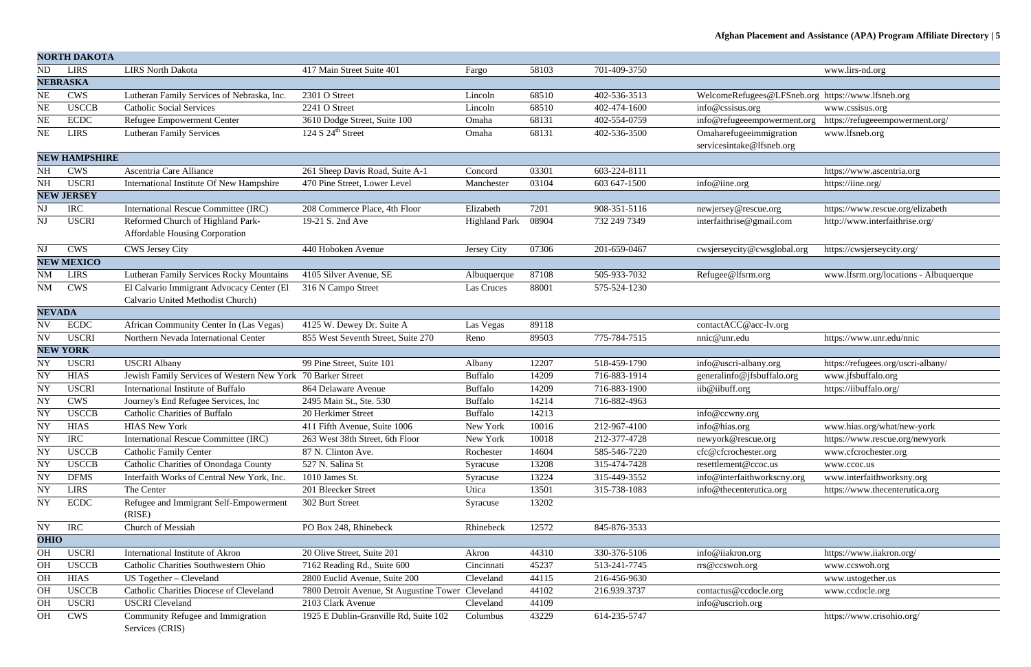|               | <b>NORTH DAKOTA</b>  |                                             |                                                   |                      |       |              |                                                   |                                       |
|---------------|----------------------|---------------------------------------------|---------------------------------------------------|----------------------|-------|--------------|---------------------------------------------------|---------------------------------------|
| ${\rm ND}$    | <b>LIRS</b>          | <b>LIRS North Dakota</b>                    | 417 Main Street Suite 401                         | Fargo                | 58103 | 701-409-3750 |                                                   | www.lirs-nd.org                       |
|               | <b>NEBRASKA</b>      |                                             |                                                   |                      |       |              |                                                   |                                       |
| NE            | <b>CWS</b>           | Lutheran Family Services of Nebraska, Inc.  | 2301 O Street                                     | Lincoln              | 68510 | 402-536-3513 | WelcomeRefugees@LFSneb.org https://www.lfsneb.org |                                       |
| <b>NE</b>     | <b>USCCB</b>         | <b>Catholic Social Services</b>             | 2241 O Street                                     | Lincoln              | 68510 | 402-474-1600 | $info@$ cssisus.org                               | www.cssisus.org                       |
| <b>NE</b>     | <b>ECDC</b>          | Refugee Empowerment Center                  | 3610 Dodge Street, Suite 100                      | Omaha                | 68131 | 402-554-0759 | info@refugeeempowerment.org                       | https://refugeeempowerment.org/       |
| NE            | <b>LIRS</b>          | <b>Lutheran Family Services</b>             | 124 S $24^{\text{th}}$ Street                     | Omaha                | 68131 | 402-536-3500 | Omaharefugeeimmigration                           | www.lfsneb.org                        |
|               |                      |                                             |                                                   |                      |       |              | servicesintake@lfsneb.org                         |                                       |
|               | <b>NEW HAMPSHIRE</b> |                                             |                                                   |                      |       |              |                                                   |                                       |
| NH            | <b>CWS</b>           | Ascentria Care Alliance                     | 261 Sheep Davis Road, Suite A-1                   | Concord              | 03301 | 603-224-8111 |                                                   | https://www.ascentria.org             |
| NH            | <b>USCRI</b>         | International Institute Of New Hampshire    | 470 Pine Street, Lower Level                      | Manchester           | 03104 | 603 647-1500 | info@iine.org                                     | https://iine.org/                     |
|               | <b>NEW JERSEY</b>    |                                             |                                                   |                      |       |              |                                                   |                                       |
| NJ            | <b>IRC</b>           | International Rescue Committee (IRC)        | 208 Commerce Place, 4th Floor                     | Elizabeth            | 7201  | 908-351-5116 | newjersey@rescue.org                              | https://www.rescue.org/elizabeth      |
| NJ            | <b>USCRI</b>         | Reformed Church of Highland Park-           | 19-21 S. 2nd Ave                                  | <b>Highland Park</b> | 08904 | 732 249 7349 | interfaithrise@gmail.com                          | http://www.interfaithrise.org/        |
|               |                      | <b>Affordable Housing Corporation</b>       |                                                   |                      |       |              |                                                   |                                       |
| NJ            | <b>CWS</b>           | CWS Jersey City                             | 440 Hoboken Avenue                                | Jersey City          | 07306 | 201-659-0467 | cwsjerseycity@cwsglobal.org                       | https://cwsjerseycity.org/            |
|               | <b>NEW MEXICO</b>    |                                             |                                                   |                      |       |              |                                                   |                                       |
| <b>NM</b>     | <b>LIRS</b>          | Lutheran Family Services Rocky Mountains    | 4105 Silver Avenue, SE                            | Albuquerque          | 87108 | 505-933-7032 | Refugee@lfsrm.org                                 | www.lfsrm.org/locations - Albuquerque |
| $\rm NM$      | <b>CWS</b>           | El Calvario Immigrant Advocacy Center (El   | 316 N Campo Street                                | Las Cruces           | 88001 | 575-524-1230 |                                                   |                                       |
|               |                      | Calvario United Methodist Church)           |                                                   |                      |       |              |                                                   |                                       |
| <b>NEVADA</b> |                      |                                             |                                                   |                      |       |              |                                                   |                                       |
| NV            | <b>ECDC</b>          | African Community Center In (Las Vegas)     | 4125 W. Dewey Dr. Suite A                         | Las Vegas            | 89118 |              | contactACC@acc-lv.org                             |                                       |
| NV            | <b>USCRI</b>         | Northern Nevada International Center        | 855 West Seventh Street, Suite 270                | Reno                 | 89503 | 775-784-7515 | nnic@unr.edu                                      | https://www.unr.edu/nnic              |
|               | <b>NEW YORK</b>      |                                             |                                                   |                      |       |              |                                                   |                                       |
| <b>NY</b>     | <b>USCRI</b>         | <b>USCRI Albany</b>                         | 99 Pine Street, Suite 101                         | Albany               | 12207 | 518-459-1790 | info@uscri-albany.org                             | https://refugees.org/uscri-albany/    |
| <b>NY</b>     | <b>HIAS</b>          | Jewish Family Services of Western New York  | 70 Barker Street                                  | <b>Buffalo</b>       | 14209 | 716-883-1914 | generalinfo@jfsbuffalo.org                        | www.jfsbuffalo.org                    |
| NY            | <b>USCRI</b>         | International Institute of Buffalo          | 864 Delaware Avenue                               | <b>Buffalo</b>       | 14209 | 716-883-1900 | iib@iibuff.org                                    | https://iibuffalo.org/                |
| NY            | <b>CWS</b>           | Journey's End Refugee Services, Inc         | 2495 Main St., Ste. 530                           | <b>Buffalo</b>       | 14214 | 716-882-4963 |                                                   |                                       |
| <b>NY</b>     | <b>USCCB</b>         | <b>Catholic Charities of Buffalo</b>        | 20 Herkimer Street                                | <b>Buffalo</b>       | 14213 |              | info@ccwny.org                                    |                                       |
| NY            | <b>HIAS</b>          | <b>HIAS New York</b>                        | 411 Fifth Avenue, Suite 1006                      | New York             | 10016 | 212-967-4100 | info@hias.org                                     | www.hias.org/what/new-york            |
| <b>NY</b>     | <b>IRC</b>           | <b>International Rescue Committee (IRC)</b> | 263 West 38th Street, 6th Floor                   | New York             | 10018 | 212-377-4728 | newyork@rescue.org                                | https://www.rescue.org/newyork        |
| <b>NY</b>     | <b>USCCB</b>         | <b>Catholic Family Center</b>               | 87 N. Clinton Ave.                                | Rochester            | 14604 | 585-546-7220 | cfc@cfcrochester.org                              | www.cfcrochester.org                  |
| NY            | <b>USCCB</b>         | Catholic Charities of Onondaga County       | 527 N. Salina St                                  | Syracuse             | 13208 | 315-474-7428 | resettlement@ccoc.us                              | www.ccoc.us                           |
| NY            | <b>DFMS</b>          | Interfaith Works of Central New York, Inc.  | 1010 James St.                                    | Syracuse             | 13224 | 315-449-3552 | info@interfaithworkscny.org                       | www.interfaithworksny.org             |
| <b>NY</b>     | <b>LIRS</b>          | The Center                                  | 201 Bleecker Street                               | Utica                | 13501 | 315-738-1083 | info@thecenterutica.org                           | https://www.thecenterutica.org        |
| NY            | <b>ECDC</b>          | Refugee and Immigrant Self-Empowerment      | 302 Burt Street                                   | Syracuse             | 13202 |              |                                                   |                                       |
|               |                      | (RISE)                                      |                                                   |                      |       |              |                                                   |                                       |
| ${\rm NY}$    | <b>IRC</b>           | Church of Messiah                           | PO Box 248, Rhinebeck                             | Rhinebeck            | 12572 | 845-876-3533 |                                                   |                                       |
| <b>OHIO</b>   |                      |                                             |                                                   |                      |       |              |                                                   |                                       |
| <b>OH</b>     | <b>USCRI</b>         | International Institute of Akron            | 20 Olive Street, Suite 201                        | Akron                | 44310 | 330-376-5106 | info@iiakron.org                                  | https://www.iiakron.org/              |
| OH            | <b>USCCB</b>         | Catholic Charities Southwestern Ohio        | 7162 Reading Rd., Suite 600                       | Cincinnati           | 45237 | 513-241-7745 | rrs@ccswoh.org                                    | www.ccswoh.org                        |
| <b>OH</b>     | <b>HIAS</b>          | US Together - Cleveland                     | 2800 Euclid Avenue, Suite 200                     | Cleveland            | 44115 | 216-456-9630 |                                                   | www.ustogether.us                     |
| <b>OH</b>     | <b>USCCB</b>         | Catholic Charities Diocese of Cleveland     | 7800 Detroit Avenue, St Augustine Tower Cleveland |                      | 44102 | 216.939.3737 | contactus@ccdocle.org                             | www.ccdocle.org                       |
| <b>OH</b>     | <b>USCRI</b>         | <b>USCRI</b> Cleveland                      | 2103 Clark Avenue                                 | Cleveland            | 44109 |              | info@uscrioh.org                                  |                                       |
| <b>OH</b>     | <b>CWS</b>           | Community Refugee and Immigration           | 1925 E Dublin-Granville Rd, Suite 102             | Columbus             | 43229 | 614-235-5747 |                                                   | https://www.crisohio.org/             |
|               |                      | Services (CRIS)                             |                                                   |                      |       |              |                                                   |                                       |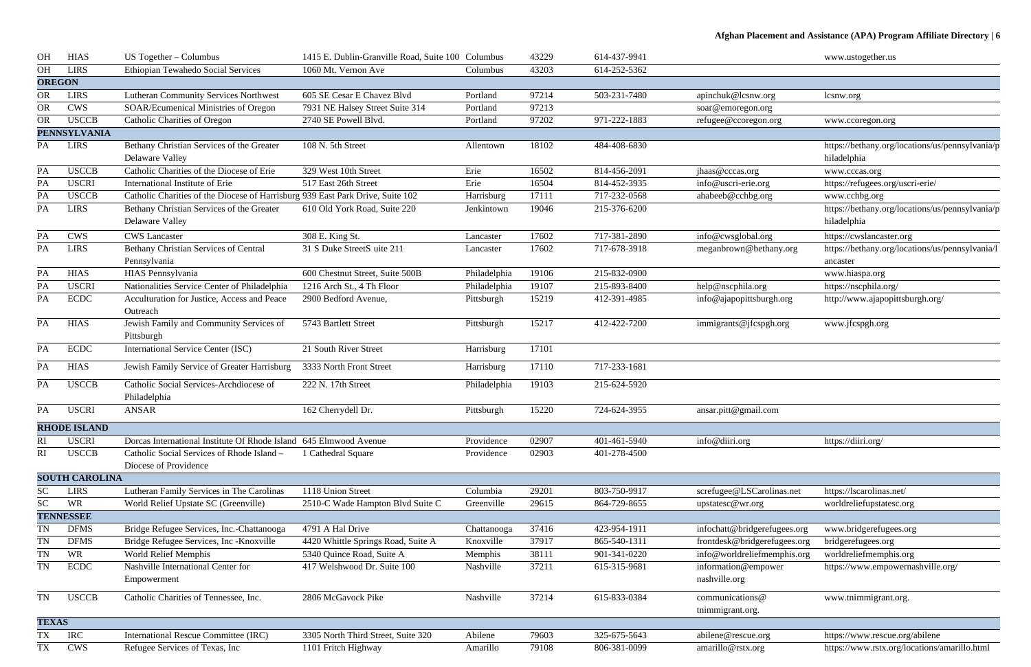| OH            | <b>HIAS</b>           | US Together – Columbus                                                         | 1415 E. Dublin-Granville Road, Suite 100 Columbus |              | 43229 | 614-437-9941 |                              | www.ustogether.us                               |
|---------------|-----------------------|--------------------------------------------------------------------------------|---------------------------------------------------|--------------|-------|--------------|------------------------------|-------------------------------------------------|
| OH            | <b>LIRS</b>           | Ethiopian Tewahedo Social Services                                             | 1060 Mt. Vernon Ave                               | Columbus     | 43203 | 614-252-5362 |                              |                                                 |
| <b>OREGON</b> |                       |                                                                                |                                                   |              |       |              |                              |                                                 |
| <b>OR</b>     | <b>LIRS</b>           | <b>Lutheran Community Services Northwest</b>                                   | 605 SE Cesar E Chavez Blvd                        | Portland     | 97214 | 503-231-7480 | apinchuk@lcsnw.org           | lcsnw.org                                       |
| <b>OR</b>     | <b>CWS</b>            | <b>SOAR/Ecumenical Ministries of Oregon</b>                                    | 7931 NE Halsey Street Suite 314                   | Portland     | 97213 |              | soar@emoregon.org            |                                                 |
| <b>OR</b>     | <b>USCCB</b>          | <b>Catholic Charities of Oregon</b>                                            | 2740 SE Powell Blvd.                              | Portland     | 97202 | 971-222-1883 | refugee@ccoregon.org         | www.ccoregon.org                                |
|               | <b>PENNSYLVANIA</b>   |                                                                                |                                                   |              |       |              |                              |                                                 |
| PA            | <b>LIRS</b>           | Bethany Christian Services of the Greater                                      | 108 N. 5th Street                                 | Allentown    | 18102 | 484-408-6830 |                              | https://bethany.org/locations/us/pennsylvania/p |
|               |                       | Delaware Valley                                                                |                                                   |              |       |              |                              | hiladelphia                                     |
| PA            | <b>USCCB</b>          | Catholic Charities of the Diocese of Erie                                      | 329 West 10th Street                              | Erie         | 16502 | 814-456-2091 | jhaas@cccas.org              | www.cccas.org                                   |
| PA            | <b>USCRI</b>          | International Institute of Erie                                                | 517 East 26th Street                              | Erie         | 16504 | 814-452-3935 | info@uscri-erie.org          | https://refugees.org/uscri-erie/                |
| PA            | <b>USCCB</b>          | Catholic Charities of the Diocese of Harrisburg 939 East Park Drive, Suite 102 |                                                   | Harrisburg   | 17111 | 717-232-0568 | ahabeeb@cchbg.org            | www.cchbg.org                                   |
| PA            | <b>LIRS</b>           | Bethany Christian Services of the Greater                                      | 610 Old York Road, Suite 220                      | Jenkintown   | 19046 | 215-376-6200 |                              | https://bethany.org/locations/us/pennsylvania/p |
|               |                       | Delaware Valley                                                                |                                                   |              |       |              |                              | hiladelphia                                     |
| PA            | <b>CWS</b>            | <b>CWS</b> Lancaster                                                           | 308 E. King St.                                   | Lancaster    | 17602 | 717-381-2890 | info@cwsglobal.org           | https://cwslancaster.org                        |
| PA            | <b>LIRS</b>           | Bethany Christian Services of Central                                          | 31 S Duke StreetS uite 211                        | Lancaster    | 17602 | 717-678-3918 | meganbrown@bethany.org       | https://bethany.org/locations/us/pennsylvania/l |
|               |                       | Pennsylvania                                                                   |                                                   |              |       |              |                              | ancaster                                        |
| PA            | <b>HIAS</b>           | HIAS Pennsylvania                                                              | 600 Chestnut Street, Suite 500B                   | Philadelphia | 19106 | 215-832-0900 |                              | www.hiaspa.org                                  |
| PA            | <b>USCRI</b>          | Nationalities Service Center of Philadelphia                                   | 1216 Arch St., 4 Th Floor                         | Philadelphia | 19107 | 215-893-8400 | help@nscphila.org            | https://nscphila.org/                           |
| PA            | <b>ECDC</b>           | Acculturation for Justice, Access and Peace                                    | 2900 Bedford Avenue,                              | Pittsburgh   | 15219 | 412-391-4985 | info@ajapopittsburgh.org     | http://www.ajapopittsburgh.org/                 |
|               |                       | Outreach                                                                       |                                                   |              |       |              |                              |                                                 |
| PA            | <b>HIAS</b>           | Jewish Family and Community Services of                                        | 5743 Bartlett Street                              | Pittsburgh   | 15217 | 412-422-7200 | immigrants@jfcspgh.org       | www.jfcspgh.org                                 |
|               |                       | Pittsburgh                                                                     |                                                   |              |       |              |                              |                                                 |
| PA            | <b>ECDC</b>           | <b>International Service Center (ISC)</b>                                      | 21 South River Street                             | Harrisburg   | 17101 |              |                              |                                                 |
| PA            | <b>HIAS</b>           | Jewish Family Service of Greater Harrisburg                                    | 3333 North Front Street                           | Harrisburg   | 17110 | 717-233-1681 |                              |                                                 |
| PA            | <b>USCCB</b>          | Catholic Social Services-Archdiocese of                                        | 222 N. 17th Street                                | Philadelphia | 19103 | 215-624-5920 |                              |                                                 |
|               |                       | Philadelphia                                                                   |                                                   |              |       |              |                              |                                                 |
| PA            | <b>USCRI</b>          | <b>ANSAR</b>                                                                   | 162 Cherrydell Dr.                                | Pittsburgh   | 15220 | 724-624-3955 | ansar.pitt@gmail.com         |                                                 |
|               | <b>RHODE ISLAND</b>   |                                                                                |                                                   |              |       |              |                              |                                                 |
| RI            | <b>USCRI</b>          | Dorcas International Institute Of Rhode Island 645 Elmwood Avenue              |                                                   | Providence   | 02907 | 401-461-5940 | info@diiri.org               | https://diiri.org/                              |
| RI            | <b>USCCB</b>          | Catholic Social Services of Rhode Island -                                     | 1 Cathedral Square                                | Providence   | 02903 | 401-278-4500 |                              |                                                 |
|               |                       | Diocese of Providence                                                          |                                                   |              |       |              |                              |                                                 |
|               | <b>SOUTH CAROLINA</b> |                                                                                |                                                   |              |       |              |                              |                                                 |
| <b>SC</b>     | <b>LIRS</b>           | Lutheran Family Services in The Carolinas                                      | 1118 Union Street                                 | Columbia     | 29201 | 803-750-9917 | screfugee@LSCarolinas.net    | https://lscarolinas.net/                        |
| SC            | <b>WR</b>             | World Relief Upstate SC (Greenville)                                           | 2510-C Wade Hampton Blvd Suite C                  | Greenville   | 29615 | 864-729-8655 | upstatesc@wr.org             | worldreliefupstatesc.org                        |
|               | <b>TENNESSEE</b>      |                                                                                |                                                   |              |       |              |                              |                                                 |
| TN            | <b>DFMS</b>           | Bridge Refugee Services, Inc.-Chattanooga                                      | 4791 A Hal Drive                                  | Chattanooga  | 37416 | 423-954-1911 | infochatt@bridgerefugees.org | www.bridgerefugees.org                          |
| <b>TN</b>     | <b>DFMS</b>           | Bridge Refugee Services, Inc - Knoxville                                       | 4420 Whittle Springs Road, Suite A                | Knoxville    | 37917 | 865-540-1311 | frontdesk@bridgerefugees.org | bridgerefugees.org                              |
| <b>TN</b>     | WR                    | World Relief Memphis                                                           | 5340 Quince Road, Suite A                         | Memphis      | 38111 | 901-341-0220 | info@worldreliefmemphis.org  | worldreliefmemphis.org                          |
| TN            | <b>ECDC</b>           | Nashville International Center for                                             | 417 Welshwood Dr. Suite 100                       | Nashville    | 37211 | 615-315-9681 | information@empower          | https://www.empowernashville.org/               |
|               |                       | Empowerment                                                                    |                                                   |              |       |              | nashville.org                |                                                 |
| TN            | <b>USCCB</b>          | Catholic Charities of Tennessee, Inc.                                          | 2806 McGavock Pike                                | Nashville    | 37214 | 615-833-0384 | communications@              | www.tnimmigrant.org.                            |
|               |                       |                                                                                |                                                   |              |       |              | tnimmigrant.org.             |                                                 |
| <b>TEXAS</b>  |                       |                                                                                |                                                   |              |       |              |                              |                                                 |
| <b>TX</b>     | <b>IRC</b>            | <b>International Rescue Committee (IRC)</b>                                    | 3305 North Third Street, Suite 320                | Abilene      | 79603 | 325-675-5643 | abilene@rescue.org           | https://www.rescue.org/abilene                  |
| TX            | <b>CWS</b>            | Refugee Services of Texas, Inc                                                 | 1101 Fritch Highway                               | Amarillo     | 79108 | 806-381-0099 | amarillo@rstx.org            | https://www.rstx.org/locations/amarillo.html    |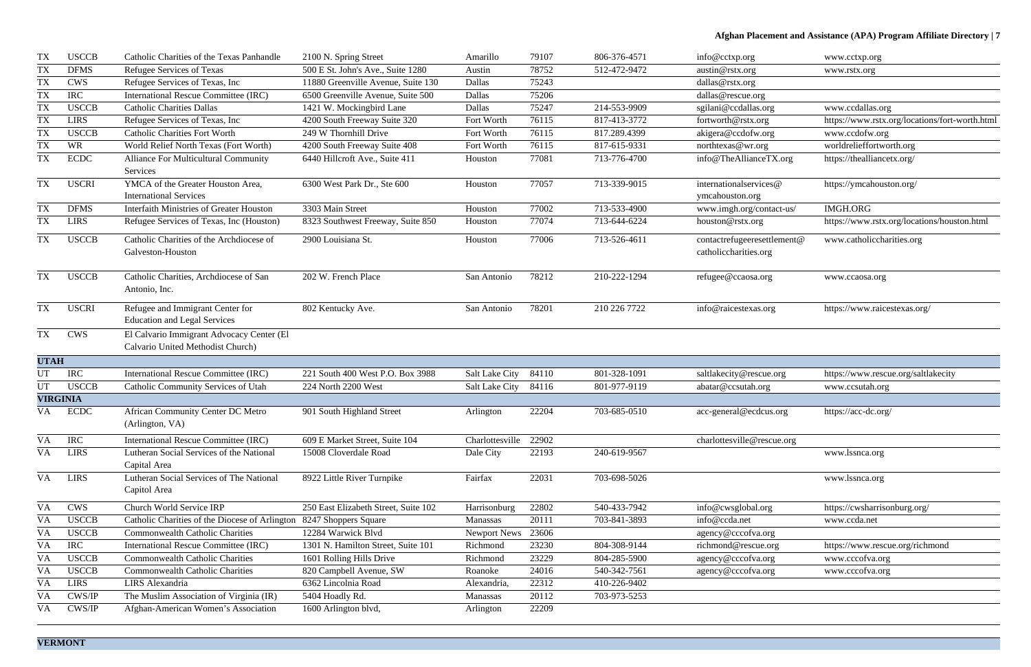| <b>TX</b>   | <b>USCCB</b>    | Catholic Charities of the Texas Panhandle                                      | 2100 N. Spring Street                | Amarillo        | 79107 | 806-376-4571 | info@cctxp.org                                       | www.cctxp.org                                  |
|-------------|-----------------|--------------------------------------------------------------------------------|--------------------------------------|-----------------|-------|--------------|------------------------------------------------------|------------------------------------------------|
| <b>TX</b>   | <b>DFMS</b>     | Refugee Services of Texas                                                      | 500 E St. John's Ave., Suite 1280    | Austin          | 78752 | 512-472-9472 | austin@rstx.org                                      | www.rstx.org                                   |
| <b>TX</b>   | <b>CWS</b>      | Refugee Services of Texas, Inc                                                 | 11880 Greenville Avenue, Suite 130   | Dallas          | 75243 |              | dallas@rstx.org                                      |                                                |
| <b>TX</b>   | <b>IRC</b>      | International Rescue Committee (IRC)                                           | 6500 Greenville Avenue, Suite 500    | Dallas          | 75206 |              | dallas@rescue.org                                    |                                                |
| <b>TX</b>   | <b>USCCB</b>    | <b>Catholic Charities Dallas</b>                                               | 1421 W. Mockingbird Lane             | Dallas          | 75247 | 214-553-9909 | sgilani@ccdallas.org                                 | www.ccdallas.org                               |
| <b>TX</b>   | <b>LIRS</b>     | Refugee Services of Texas, Inc.                                                | 4200 South Freeway Suite 320         | Fort Worth      | 76115 | 817-413-3772 | fortworth@rstx.org                                   | https://www.rstx.org/locations/fort-worth.html |
| <b>TX</b>   | <b>USCCB</b>    | <b>Catholic Charities Fort Worth</b>                                           | 249 W Thornhill Drive                | Fort Worth      | 76115 | 817.289.4399 | akigera@ccdofw.org                                   | www.ccdofw.org                                 |
| <b>TX</b>   | <b>WR</b>       | World Relief North Texas (Fort Worth)                                          | 4200 South Freeway Suite 408         | Fort Worth      | 76115 | 817-615-9331 | northtexas@wr.org                                    | worldrelieffortworth.org                       |
| <b>TX</b>   | $\rm ECDC$      | <b>Alliance For Multicultural Community</b><br>Services                        | 6440 Hillcroft Ave., Suite 411       | Houston         | 77081 | 713-776-4700 | info@TheAllianceTX.org                               | https://thealliancetx.org/                     |
| <b>TX</b>   | <b>USCRI</b>    | YMCA of the Greater Houston Area,<br><b>International Services</b>             | 6300 West Park Dr., Ste 600          | Houston         | 77057 | 713-339-9015 | internationalservices@<br>ymcahouston.org            | https://ymcahouston.org/                       |
| <b>TX</b>   | <b>DFMS</b>     | <b>Interfaith Ministries of Greater Houston</b>                                | 3303 Main Street                     | Houston         | 77002 | 713-533-4900 | www.imgh.org/contact-us/                             | IMGH.ORG                                       |
| <b>TX</b>   | <b>LIRS</b>     | Refugee Services of Texas, Inc (Houston)                                       | 8323 Southwest Freeway, Suite 850    | Houston         | 77074 | 713-644-6224 | houston@rstx.org                                     | https://www.rstx.org/locations/houston.html    |
| <b>TX</b>   | <b>USCCB</b>    | Catholic Charities of the Archdiocese of<br>Galveston-Houston                  | 2900 Louisiana St.                   | Houston         | 77006 | 713-526-4611 | contactrefugeeresettlement@<br>catholiccharities.org | www.catholiccharities.org                      |
| <b>TX</b>   | <b>USCCB</b>    | Catholic Charities, Archdiocese of San<br>Antonio, Inc.                        | 202 W. French Place                  | San Antonio     | 78212 | 210-222-1294 | refugee@ccaosa.org                                   | www.ccaosa.org                                 |
| TX          | <b>USCRI</b>    | Refugee and Immigrant Center for<br><b>Education and Legal Services</b>        | 802 Kentucky Ave.                    | San Antonio     | 78201 | 210 226 7722 | info@raicestexas.org                                 | https://www.raicestexas.org/                   |
| <b>TX</b>   | <b>CWS</b>      | El Calvario Immigrant Advocacy Center (El<br>Calvario United Methodist Church) |                                      |                 |       |              |                                                      |                                                |
| <b>UTAH</b> |                 |                                                                                |                                      |                 |       |              |                                                      |                                                |
| UT          | <b>IRC</b>      | <b>International Rescue Committee (IRC)</b>                                    | 221 South 400 West P.O. Box 3988     | Salt Lake City  | 84110 | 801-328-1091 | saltlakecity@rescue.org                              | https://www.rescue.org/saltlakecity            |
| <b>UT</b>   | <b>USCCB</b>    | Catholic Community Services of Utah                                            | 224 North 2200 West                  | Salt Lake City  | 84116 | 801-977-9119 | abatar@ccsutah.org                                   | www.ccsutah.org                                |
|             | <b>VIRGINIA</b> |                                                                                |                                      |                 |       |              |                                                      |                                                |
| VA          | <b>ECDC</b>     | African Community Center DC Metro<br>(Arlington, VA)                           | 901 South Highland Street            | Arlington       | 22204 | 703-685-0510 | acc-general@ecdcus.org                               | https://acc-dc.org/                            |
| <b>VA</b>   | <b>IRC</b>      | International Rescue Committee (IRC)                                           | 609 E Market Street, Suite 104       | Charlottesville | 22902 |              | charlottesville@rescue.org                           |                                                |
| VA          | <b>LIRS</b>     | Lutheran Social Services of the National<br>Capital Area                       | 15008 Cloverdale Road                | Dale City       | 22193 | 240-619-9567 |                                                      | www.lssnca.org                                 |
| VA          | <b>LIRS</b>     | Lutheran Social Services of The National<br>Capitol Area                       | 8922 Little River Turnpike           | Fairfax         | 22031 | 703-698-5026 |                                                      | www.lssnca.org                                 |
| <b>VA</b>   | <b>CWS</b>      | Church World Service IRP                                                       | 250 East Elizabeth Street, Suite 102 | Harrisonburg    | 22802 | 540-433-7942 | info@cwsglobal.org                                   | https://cwsharrisonburg.org/                   |
| <b>VA</b>   | <b>USCCB</b>    | Catholic Charities of the Diocese of Arlington                                 | 8247 Shoppers Square                 | Manassas        | 20111 | 703-841-3893 | info@ccda.net                                        | www.ccda.net                                   |
| <b>VA</b>   | <b>USCCB</b>    | <b>Commonwealth Catholic Charities</b>                                         | 12284 Warwick Blvd                   | Newport News    | 23606 |              | agency@cccofva.org                                   |                                                |
| <b>VA</b>   | <b>IRC</b>      | International Rescue Committee (IRC)                                           | 1301 N. Hamilton Street, Suite 101   | Richmond        | 23230 | 804-308-9144 | richmond@rescue.org                                  | https://www.rescue.org/richmond                |
| <b>VA</b>   | <b>USCCB</b>    | <b>Commonwealth Catholic Charities</b>                                         | 1601 Rolling Hills Drive             | Richmond        | 23229 | 804-285-5900 | agency@cccofva.org                                   | www.cccofva.org                                |
| <b>VA</b>   | <b>USCCB</b>    | <b>Commonwealth Catholic Charities</b>                                         | 820 Campbell Avenue, SW              | Roanoke         | 24016 | 540-342-7561 | agency@cccofva.org                                   | www.cccofva.org                                |
| <b>VA</b>   | <b>LIRS</b>     | LIRS Alexandria                                                                | 6362 Lincolnia Road                  | Alexandria,     | 22312 | 410-226-9402 |                                                      |                                                |
| <b>VA</b>   | CWS/IP          | The Muslim Association of Virginia (IR)                                        | 5404 Hoadly Rd.                      | Manassas        | 20112 | 703-973-5253 |                                                      |                                                |
| <b>VA</b>   | CWS/IP          | Afghan-American Women's Association                                            | 1600 Arlington blvd,                 | Arlington       | 22209 |              |                                                      |                                                |